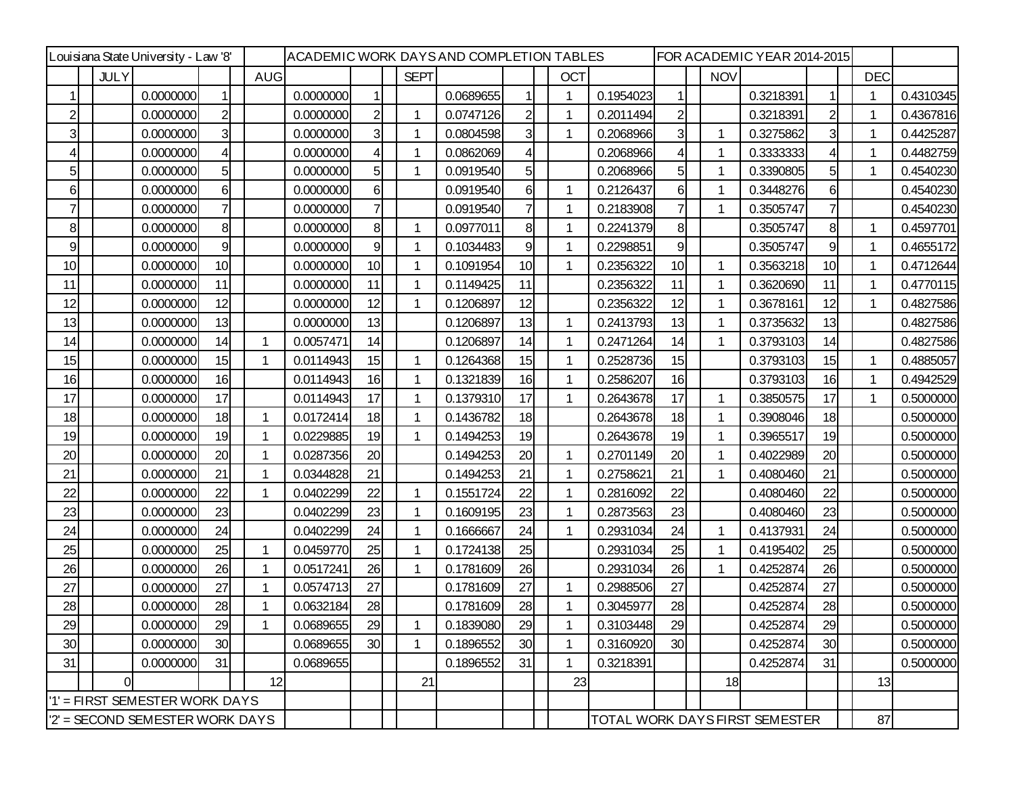| Louisiana State University - Law '8' |             |           |                |  |            |           |                |  |             | ACADEMIC WORK DAYSAND COMPLETION TABLES |                |  |            | FOR ACADEMIC YEAR 2014-2015 |                                |             |           |                |            |           |
|--------------------------------------|-------------|-----------|----------------|--|------------|-----------|----------------|--|-------------|-----------------------------------------|----------------|--|------------|-----------------------------|--------------------------------|-------------|-----------|----------------|------------|-----------|
|                                      | <b>JULY</b> |           |                |  | <b>AUG</b> |           |                |  | <b>SEPT</b> |                                         |                |  | <b>OCT</b> |                             |                                | <b>NOV</b>  |           |                | <b>DEC</b> |           |
|                                      |             | 0.0000000 |                |  |            | 0.0000000 |                |  |             | 0.0689655                               |                |  |            | 0.1954023                   |                                |             | 0.3218391 |                |            | 0.4310345 |
| $\mathbf{2}$                         |             | 0.0000000 | $\overline{2}$ |  |            | 0.0000000 | $\overline{c}$ |  | 1           | 0.0747126                               | 2              |  |            | 0.2011494                   | $\mathsf{2}$                   |             | 0.3218391 | $\overline{2}$ | -1         | 0.4367816 |
| 3                                    |             | 0.0000000 | 3              |  |            | 0.0000000 | 3              |  |             | 0.0804598                               | 3              |  |            | 0.2068966                   | 3                              | 1           | 0.3275862 | 3              |            | 0.4425287 |
| 4                                    |             | 0.0000000 |                |  |            | 0.0000000 |                |  | 1           | 0.0862069                               | 4              |  |            | 0.2068966                   |                                |             | 0.3333333 | $\overline{4}$ |            | 0.4482759 |
| 5 <sub>l</sub>                       |             | 0.0000000 | 5              |  |            | 0.0000000 | 5              |  | 1           | 0.0919540                               | 5 <sub>l</sub> |  |            | 0.2068966                   | 51                             | 1           | 0.3390805 | 5 <sub>l</sub> |            | 0.4540230 |
| 6                                    |             | 0.0000000 | 6              |  |            | 0.0000000 | 6              |  |             | 0.0919540                               | 6              |  | 1          | 0.2126437                   | 6                              | 1           | 0.3448276 | 6              |            | 0.4540230 |
| $\overline{7}$                       |             | 0.0000000 |                |  |            | 0.0000000 | 7              |  |             | 0.0919540                               |                |  |            | 0.2183908                   | 7                              | 1           | 0.3505747 | $\overline{7}$ |            | 0.4540230 |
| 8                                    |             | 0.0000000 | 8              |  |            | 0.0000000 | 8              |  | 1           | 0.0977011                               | 8              |  |            | 0.2241379                   | 8 <sup>1</sup>                 |             | 0.3505747 | 8              | -1         | 0.4597701 |
| 9                                    |             | 0.0000000 | 9              |  |            | 0.0000000 | 9              |  | 1           | 0.1034483                               | 9              |  |            | 0.2298851                   | 9                              |             | 0.3505747 | 9              |            | 0.4655172 |
| 10                                   |             | 0.0000000 | 10             |  |            | 0.0000000 | 10             |  | 1           | 0.1091954                               | 10             |  | 1          | 0.2356322                   | 10 <sub>1</sub>                | $\mathbf 1$ | 0.3563218 | 10             | -1         | 0.4712644 |
| 11                                   |             | 0.0000000 | 11             |  |            | 0.0000000 | 11             |  | 1           | 0.1149425                               | 11             |  |            | 0.2356322                   | 11                             | 1           | 0.3620690 | 11             | -1         | 0.4770115 |
| 12                                   |             | 0.0000000 | 12             |  |            | 0.0000000 | 12             |  | 1           | 0.1206897                               | 12             |  |            | 0.2356322                   | 12                             | -1          | 0.3678161 | 12             | 1          | 0.4827586 |
| 13                                   |             | 0.0000000 | 13             |  |            | 0.0000000 | 13             |  |             | 0.1206897                               | 13             |  |            | 0.2413793                   | 13                             |             | 0.3735632 | 13             |            | 0.4827586 |
| 14                                   |             | 0.0000000 | 14             |  |            | 0.0057471 | 14             |  |             | 0.1206897                               | 14             |  |            | 0.2471264                   | 14                             | 1           | 0.3793103 | 14             |            | 0.4827586 |
| 15                                   |             | 0.0000000 | 15             |  |            | 0.0114943 | 15             |  | $\mathbf 1$ | 0.1264368                               | 15             |  |            | 0.2528736                   | 15                             |             | 0.3793103 | 15             |            | 0.4885057 |
| 16                                   |             | 0.0000000 | 16             |  |            | 0.0114943 | 16             |  | 1           | 0.1321839                               | 16             |  |            | 0.2586207                   | 16                             |             | 0.3793103 | 16             |            | 0.4942529 |
| 17                                   |             | 0.0000000 | 17             |  |            | 0.0114943 | 17             |  | 1           | 0.1379310                               | 17             |  | 1          | 0.2643678                   | 17                             | 1           | 0.3850575 | 17             | 1          | 0.5000000 |
| 18                                   |             | 0.0000000 | 18             |  |            | 0.0172414 | 18             |  | 1           | 0.1436782                               | 18             |  |            | 0.2643678                   | 18                             | 1           | 0.3908046 | 18             |            | 0.5000000 |
| 19                                   |             | 0.0000000 | 19             |  |            | 0.0229885 | 19             |  | 1           | 0.1494253                               | 19             |  |            | 0.2643678                   | 19                             | 1           | 0.3965517 | 19             |            | 0.5000000 |
| 20                                   |             | 0.0000000 | 20             |  |            | 0.0287356 | 20             |  |             | 0.1494253                               | 20             |  |            | 0.2701149                   | 20                             | 1           | 0.4022989 | 20             |            | 0.5000000 |
| 21                                   |             | 0.0000000 | 21             |  |            | 0.0344828 | 21             |  |             | 0.1494253                               | 21             |  |            | 0.2758621                   | 21                             | 1           | 0.4080460 | 21             |            | 0.5000000 |
| 22                                   |             | 0.0000000 | 22             |  |            | 0.0402299 | 22             |  | 1           | 0.1551724                               | 22             |  |            | 0.2816092                   | 22                             |             | 0.4080460 | 22             |            | 0.5000000 |
| 23                                   |             | 0.0000000 | 23             |  |            | 0.0402299 | 23             |  | 1           | 0.1609195                               | 23             |  | 1          | 0.2873563                   | 23                             |             | 0.4080460 | 23             |            | 0.5000000 |
| 24                                   |             | 0.0000000 | 24             |  |            | 0.0402299 | 24             |  | $\mathbf 1$ | 0.1666667                               | 24             |  |            | 0.2931034                   | 24                             | $\mathbf 1$ | 0.4137931 | 24             |            | 0.5000000 |
| 25                                   |             | 0.0000000 | 25             |  |            | 0.0459770 | 25             |  | 1           | 0.1724138                               | 25             |  |            | 0.2931034                   | 25                             |             | 0.4195402 | 25             |            | 0.5000000 |
| 26                                   |             | 0.0000000 | 26             |  |            | 0.0517241 | 26             |  | 1           | 0.1781609                               | 26             |  |            | 0.2931034                   | 26                             |             | 0.4252874 | 26             |            | 0.5000000 |
| 27                                   |             | 0.0000000 | 27             |  |            | 0.0574713 | 27             |  |             | 0.1781609                               | 27             |  |            | 0.2988506                   | 27                             |             | 0.4252874 | 27             |            | 0.5000000 |
| 28                                   |             | 0.0000000 | 28             |  |            | 0.0632184 | 28             |  |             | 0.1781609                               | 28             |  |            | 0.3045977                   | 28                             |             | 0.4252874 | 28             |            | 0.5000000 |
| 29                                   |             | 0.0000000 | 29             |  |            | 0.0689655 | 29             |  |             | 0.1839080                               | 29             |  |            | 0.3103448                   | 29                             |             | 0.4252874 | 29             |            | 0.5000000 |
| 30                                   |             | 0.0000000 | 30             |  |            | 0.0689655 | 30             |  | 1           | 0.1896552                               | 30             |  | 1          | 0.3160920                   | 30                             |             | 0.4252874 | 30             |            | 0.5000000 |
| 31                                   |             | 0.0000000 | 31             |  |            | 0.0689655 |                |  |             | 0.1896552                               | 31             |  |            | 0.3218391                   |                                |             | 0.4252874 | 31             |            | 0.5000000 |
|                                      | $\Omega$    |           |                |  | 12         |           |                |  | 21          |                                         |                |  | 23         |                             |                                | 18          |           |                | 13         |           |
| '1' = FIRST SEMESTER WORK DAYS       |             |           |                |  |            |           |                |  |             |                                         |                |  |            |                             |                                |             |           |                |            |           |
| 2' = SECOND SEMESTER WORK DAYS       |             |           |                |  |            |           |                |  |             |                                         |                |  |            |                             | TOTAL WORK DAYS FIRST SEMESTER |             | 87        |                |            |           |